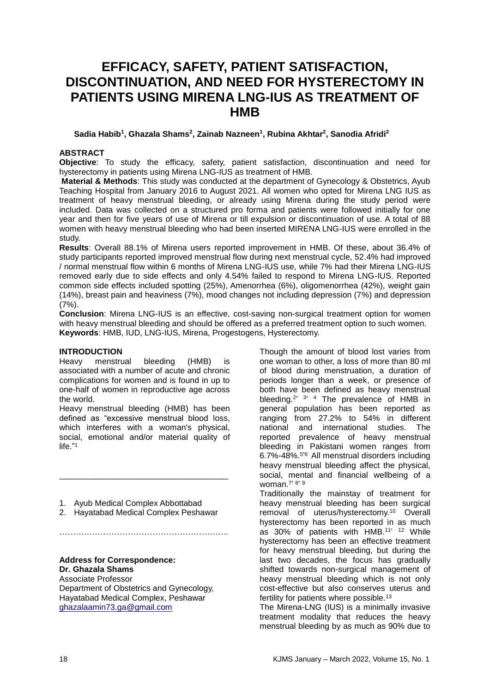# **EFFICACY, SAFETY, PATIENT SATISFACTION, DISCONTINUATION, AND NEED FOR HYSTERECTOMY IN PATIENTS USING MIRENA LNG-IUS AS TREATMENT OF HMB**

#### **Sadia Habib<sup>1</sup> , Ghazala Shams<sup>2</sup> , Zainab Nazneen<sup>1</sup> , Rubina Akhtar<sup>2</sup> , Sanodia Afridi<sup>2</sup>**

#### **ABSTRACT**

**Objective**: To study the efficacy, safety, patient satisfaction, discontinuation and need for hysterectomy in patients using Mirena LNG-IUS as treatment of HMB.

**Material & Methods**: This study was conducted at the department of Gynecology & Obstetrics, Ayub Teaching Hospital from January 2016 to August 2021. All women who opted for Mirena LNG IUS as treatment of heavy menstrual bleeding, or already using Mirena during the study period were included. Data was collected on a structured pro forma and patients were followed initially for one year and then for five years of use of Mirena or till expulsion or discontinuation of use. A total of 88 women with heavy menstrual bleeding who had been inserted MIRENA LNG-IUS were enrolled in the study.

**Results**: Overall 88.1% of Mirena users reported improvement in HMB. Of these, about 36.4% of study participants reported improved menstrual flow during next menstrual cycle, 52.4% had improved / normal menstrual flow within 6 months of Mirena LNG-IUS use, while 7% had their Mirena LNG-IUS removed early due to side effects and only 4.54% failed to respond to Mirena LNG-IUS. Reported common side effects included spotting (25%), Amenorrhea (6%), oligomenorrhea (42%), weight gain (14%), breast pain and heaviness (7%), mood changes not including depression (7%) and depression  $(7%)$ .

**Conclusion**: Mirena LNG-IUS is an effective, cost-saving non-surgical treatment option for women with heavy menstrual bleeding and should be offered as a preferred treatment option to such women. **Keywords**: HMB, IUD, LNG-IUS, Mirena, Progestogens, Hysterectomy.

#### **INTRODUCTION**

Heavy menstrual bleeding (HMB) is associated with a number of acute and chronic complications for women and is found in up to one-half of women in reproductive age across the world.

Heavy menstrual bleeding (HMB) has been defined as "excessive menstrual blood loss, which interferes with a woman's physical, social, emotional and/or material quality of life."<sup>1</sup>

- 1. Ayub Medical Complex Abbottabad
- 2. Hayatabad Medical Complex Peshawar

\_\_\_\_\_\_\_\_\_\_\_\_\_\_\_\_\_\_\_\_\_\_\_\_\_\_\_\_\_\_\_\_\_\_\_\_\_

#### **Address for Correspondence: Dr. Ghazala Shams**

Associate Professor

Department of Obstetrics and Gynecology, Hayatabad Medical Complex, Peshawar [ghazalaamin73.ga@gmail.com](mailto:ghazalaamin73.ga@gmail.com)

Though the amount of blood lost varies from one woman to other, a loss of more than 80 ml of blood during menstruation, a duration of periods longer than a week, or presence of both have been defined as heavy menstrual bleeding.<sup>2'  $3'$ </sup> 4 The prevalence of HMB in general population has been reported as ranging from 27.2% to 54% in different national and international studies. The reported prevalence of heavy menstrual bleeding in Pakistani women ranges from 6.7%-48%.<sup>5%</sup> All menstrual disorders including heavy menstrual bleeding affect the physical, social, mental and financial wellbeing of a woman.<sup>7</sup>' <sup>8</sup>' <sup>9</sup>

Traditionally the mainstay of treatment for heavy menstrual bleeding has been surgical removal of uterus/hysterectomy. <sup>10</sup> Overall hysterectomy has been reported in as much as 30% of patients with HMB.<sup>11' 12</sup> While hysterectomy has been an effective treatment for heavy menstrual bleeding, but during the last two decades, the focus has gradually shifted towards non-surgical management of heavy menstrual bleeding which is not only cost-effective but also conserves uterus and fertility for patients where possible.<sup>13</sup>

The Mirena-LNG (IUS) is a minimally invasive treatment modality that reduces the heavy menstrual bleeding by as much as 90% due to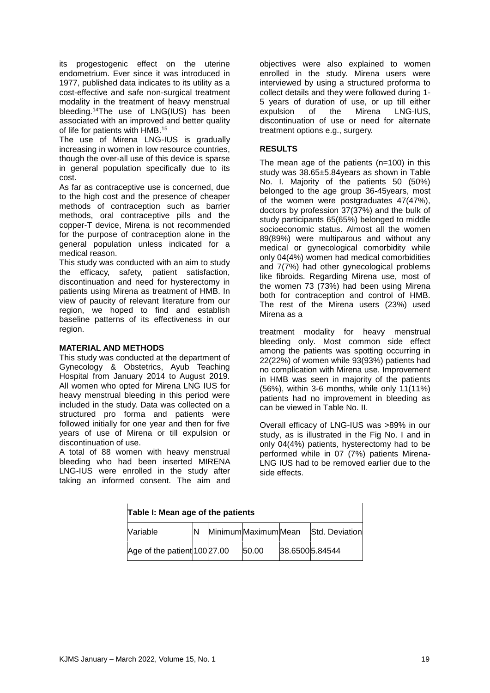its progestogenic effect on the uterine endometrium. Ever since it was introduced in 1977, published data indicates to its utility as a cost-effective and safe non-surgical treatment modality in the treatment of heavy menstrual bleeding.<sup>14</sup>The use of LNG(IUS) has been associated with an improved and better quality of life for patients with HMB. 15

The use of Mirena LNG-IUS is gradually increasing in women in low resource countries, though the over-all use of this device is sparse in general population specifically due to its cost.

As far as contraceptive use is concerned, due to the high cost and the presence of cheaper methods of contraception such as barrier methods, oral contraceptive pills and the copper-T device, Mirena is not recommended for the purpose of contraception alone in the general population unless indicated for a medical reason.

This study was conducted with an aim to study the efficacy, safety, patient satisfaction, discontinuation and need for hysterectomy in patients using Mirena as treatment of HMB. In view of paucity of relevant literature from our region, we hoped to find and establish baseline patterns of its effectiveness in our region.

#### **MATERIAL AND METHODS**

This study was conducted at the department of Gynecology & Obstetrics, Ayub Teaching Hospital from January 2014 to August 2019. All women who opted for Mirena LNG IUS for heavy menstrual bleeding in this period were included in the study. Data was collected on a structured pro forma and patients were followed initially for one year and then for five years of use of Mirena or till expulsion or discontinuation of use.

A total of 88 women with heavy menstrual bleeding who had been inserted MIRENA LNG-IUS were enrolled in the study after taking an informed consent. The aim and

objectives were also explained to women enrolled in the study. Mirena users were interviewed by using a structured proforma to collect details and they were followed during 1- 5 years of duration of use, or up till either expulsion of the Mirena LNG-IUS, discontinuation of use or need for alternate treatment options e.g., surgery.

#### **RESULTS**

The mean age of the patients (n=100) in this study was 38.65±5.84years as shown in Table No. I. Majority of the patients 50 (50%) belonged to the age group 36-45years, most of the women were postgraduates 47(47%), doctors by profession 37(37%) and the bulk of study participants 65(65%) belonged to middle socioeconomic status. Almost all the women 89(89%) were multiparous and without any medical or gynecological comorbidity while only 04(4%) women had medical comorbidities and 7(7%) had other gynecological problems like fibroids. Regarding Mirena use, most of the women 73 (73%) had been using Mirena both for contraception and control of HMB. The rest of the Mirena users (23%) used Mirena as a

treatment modality for heavy menstrual bleeding only. Most common side effect among the patients was spotting occurring in 22(22%) of women while 93(93%) patients had no complication with Mirena use. Improvement in HMB was seen in majority of the patients (56%), within 3-6 months, while only 11(11%) patients had no improvement in bleeding as can be viewed in Table No. II.

Overall efficacy of LNG-IUS was >89% in our study, as is illustrated in the Fig No. I and in only 04(4%) patients, hysterectomy had to be performed while in 07 (7%) patients Mirena-LNG IUS had to be removed earlier due to the side effects.

| Table I: Mean age of the patients |  |  |                      |  |                 |
|-----------------------------------|--|--|----------------------|--|-----------------|
| Variable                          |  |  | Minimum Maximum Mean |  | Std. Deviation  |
| Age of the patient 100 27.00      |  |  | 50.00                |  | 38.6500 5.84544 |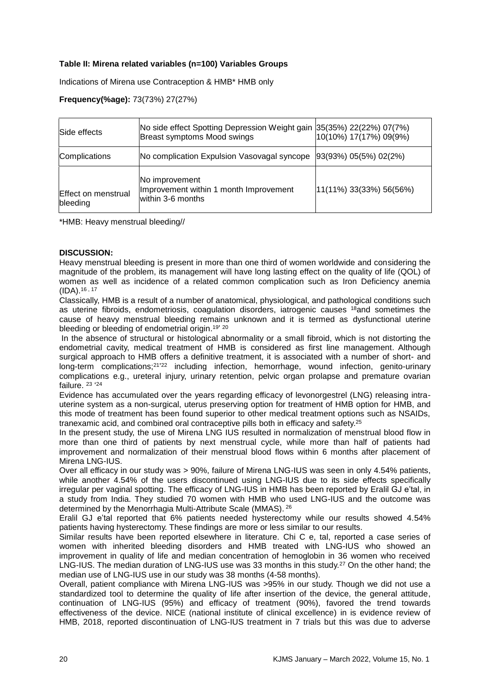## **Table II: Mirena related variables (n=100) Variables Groups**

Indications of Mirena use Contraception & HMB\* HMB only

# **Frequency(%age):** 73(73%) 27(27%)

| Side effects                    | No side effect Spotting Depression Weight gain 35(35%) 22(22%) 07(7%)<br>Breast symptoms Mood swings | 10(10%) 17(17%) 09(9%)      |
|---------------------------------|------------------------------------------------------------------------------------------------------|-----------------------------|
| Complications                   | No complication Expulsion Vasovagal syncope                                                          | $ 93(93\%) 05(5\%) 02(2\%)$ |
| Effect on menstrual<br>bleeding | No improvement<br>Improvement within 1 month Improvement<br>within 3-6 months                        | [11(11%) 33(33%) 56(56%)    |

\*HMB: Heavy menstrual bleeding//

#### **DISCUSSION:**

Heavy menstrual bleeding is present in more than one third of women worldwide and considering the magnitude of the problem, its management will have long lasting effect on the quality of life (QOL) of women as well as incidence of a related common complication such as Iron Deficiency anemia (IDA). 16 , 17

Classically, HMB is a result of a number of anatomical, physiological, and pathological conditions such as uterine fibroids, endometriosis, coagulation disorders, iatrogenic causes  $18$  and sometimes the cause of heavy menstrual bleeding remains unknown and it is termed as dysfunctional uterine bleeding or bleeding of endometrial origin.<sup>19' 20</sup>

In the absence of structural or histological abnormality or a small fibroid, which is not distorting the endometrial cavity, medical treatment of HMB is considered as first line management. Although surgical approach to HMB offers a definitive treatment, it is associated with a number of short- and long-term complications;<sup>21'22</sup> including infection, hemorrhage, wound infection, genito-urinary complications e.g., ureteral injury, urinary retention, pelvic organ prolapse and premature ovarian failure. <sup>23</sup> '<sup>24</sup>

Evidence has accumulated over the years regarding efficacy of levonorgestrel (LNG) releasing intrauterine system as a non-surgical, uterus preserving option for treatment of HMB option for HMB, and this mode of treatment has been found superior to other medical treatment options such as NSAIDs, tranexamic acid, and combined oral contraceptive pills both in efficacy and safety.<sup>25</sup>

In the present study, the use of Mirena LNG IUS resulted in normalization of menstrual blood flow in more than one third of patients by next menstrual cycle, while more than half of patients had improvement and normalization of their menstrual blood flows within 6 months after placement of Mirena LNG-IUS.

Over all efficacy in our study was > 90%, failure of Mirena LNG-IUS was seen in only 4.54% patients, while another 4.54% of the users discontinued using LNG-IUS due to its side effects specifically irregular per vaginal spotting. The efficacy of LNG-IUS in HMB has been reported by Eralil GJ e'tal, in a study from India. They studied 70 women with HMB who used LNG-IUS and the outcome was determined by the Menorrhagia Multi-Attribute Scale (MMAS). <sup>26</sup>

Eralil GJ e'tal reported that 6% patients needed hysterectomy while our results showed 4.54% patients having hysterectomy. These findings are more or less similar to our results.

Similar results have been reported elsewhere in literature. Chi C e, tal, reported a case series of women with inherited bleeding disorders and HMB treated with LNG-IUS who showed an improvement in quality of life and median concentration of hemoglobin in 36 women who received LNG-IUS. The median duration of LNG-IUS use was 33 months in this study.<sup>27</sup> On the other hand; the median use of LNG-IUS use in our study was 38 months (4-58 months).

Overall, patient compliance with Mirena LNG-IUS was >95% in our study. Though we did not use a standardized tool to determine the quality of life after insertion of the device, the general attitude, continuation of LNG-IUS (95%) and efficacy of treatment (90%), favored the trend towards effectiveness of the device. NICE (national institute of clinical excellence) in is evidence review of HMB, 2018, reported discontinuation of LNG-IUS treatment in 7 trials but this was due to adverse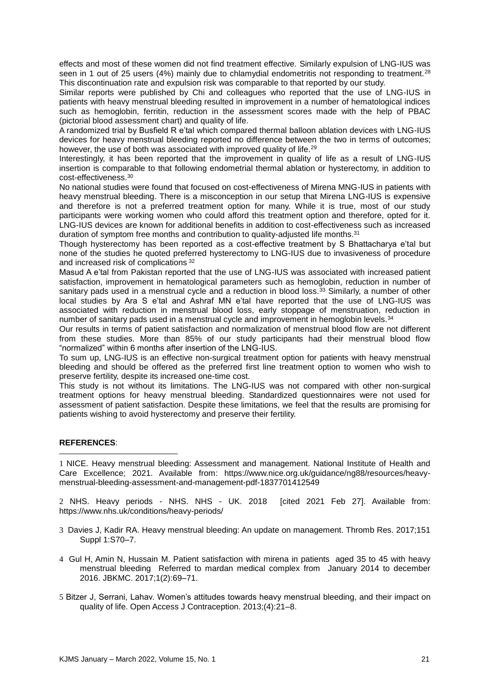effects and most of these women did not find treatment effective. Similarly expulsion of LNG-IUS was seen in 1 out of 25 users (4%) mainly due to chlamydial endometritis not responding to treatment.<sup>28</sup> This discontinuation rate and expulsion risk was comparable to that reported by our study.

Similar reports were published by Chi and colleagues who reported that the use of LNG-IUS in patients with heavy menstrual bleeding resulted in improvement in a number of hematological indices such as hemoglobin, ferritin, reduction in the assessment scores made with the help of PBAC (pictorial blood assessment chart) and quality of life.

A randomized trial by Busfield R e'tal which compared thermal balloon ablation devices with LNG-IUS devices for heavy menstrual bleeding reported no difference between the two in terms of outcomes; however, the use of both was associated with improved quality of life.<sup>29</sup>

Interestingly, it has been reported that the improvement in quality of life as a result of LNG-IUS insertion is comparable to that following endometrial thermal ablation or hysterectomy, in addition to cost-effectiveness.<sup>30</sup>

No national studies were found that focused on cost-effectiveness of Mirena MNG-IUS in patients with heavy menstrual bleeding. There is a misconception in our setup that Mirena LNG-IUS is expensive and therefore is not a preferred treatment option for many. While it is true, most of our study participants were working women who could afford this treatment option and therefore, opted for it. LNG-IUS devices are known for additional benefits in addition to cost-effectiveness such as increased duration of symptom free months and contribution to quality-adjusted life months.<sup>31</sup>

Though hysterectomy has been reported as a cost-effective treatment by S Bhattacharya e'tal but none of the studies he quoted preferred hysterectomy to LNG-IUS due to invasiveness of procedure and increased risk of complications <sup>32</sup>

Masud A e'tal from Pakistan reported that the use of LNG-IUS was associated with increased patient satisfaction, improvement in hematological parameters such as hemoglobin, reduction in number of sanitary pads used in a menstrual cycle and a reduction in blood loss.<sup>33</sup> Similarly, a number of other local studies by Ara S e'tal and Ashraf MN e'tal have reported that the use of LNG-IUS was associated with reduction in menstrual blood loss, early stoppage of menstruation, reduction in number of sanitary pads used in a menstrual cycle and improvement in hemoglobin levels.<sup>34</sup>

Our results in terms of patient satisfaction and normalization of menstrual blood flow are not different from these studies. More than 85% of our study participants had their menstrual blood flow "normalized" within 6 months after insertion of the LNG-IUS.

To sum up, LNG-IUS is an effective non-surgical treatment option for patients with heavy menstrual bleeding and should be offered as the preferred first line treatment option to women who wish to preserve fertility, despite its increased one-time cost.

This study is not without its limitations. The LNG-IUS was not compared with other non-surgical treatment options for heavy menstrual bleeding. Standardized questionnaires were not used for assessment of patient satisfaction. Despite these limitations, we feel that the results are promising for patients wishing to avoid hysterectomy and preserve their fertility.

### **REFERENCES**:

<u>.</u>

1 NICE. Heavy menstrual bleeding: Assessment and management. National Institute of Health and Care Excellence; 2021. Available from: https://www.nice.org.uk/guidance/ng88/resources/heavymenstrual-bleeding-assessment-and-management-pdf-1837701412549

2 NHS. Heavy periods - NHS. NHS - UK. 2018 [cited 2021 Feb 27]. Available from: https://www.nhs.uk/conditions/heavy-periods/

- 3 Davies J, Kadir RA. Heavy menstrual bleeding: An update on management. Thromb Res. 2017;151 Suppl 1:S70–7.
- 4 Gul H, Amin N, Hussain M. Patient satisfaction with mirena in patients aged 35 to 45 with heavy menstrual bleeding Referred to mardan medical complex from January 2014 to december 2016. JBKMC. 2017;1(2):69–71.
- 5 Bitzer J, Serrani, Lahav. Women's attitudes towards heavy menstrual bleeding, and their impact on quality of life. Open Access J Contraception. 2013;(4):21–8.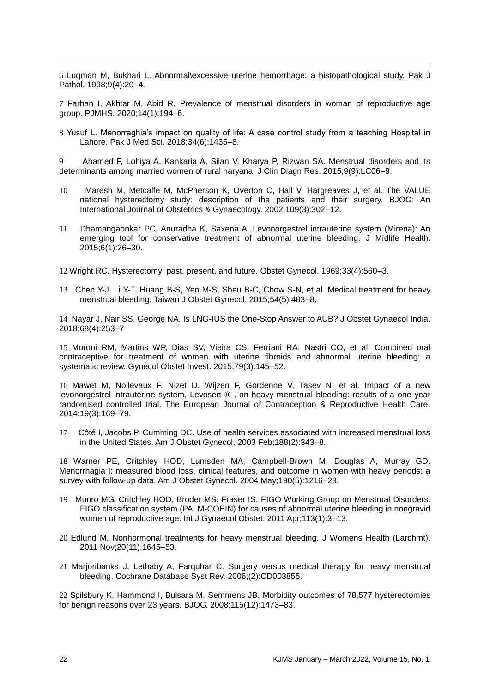6 Luqman M, Bukhari L. Abnormal\excessive uterine hemorrhage: a histopathological study. Pak J Pathol. 1998;9(4):20–4.

7 Farhan I, Akhtar M, Abid R. Prevalence of menstrual disorders in woman of reproductive age group. PJMHS. 2020;14(1):194–6.

8 Yusuf L. Menorraghia's impact on quality of life: A case control study from a teaching Hospital in Lahore. Pak J Med Sci. 2018;34(6):1435–8.

9 Ahamed F, Lohiya A, Kankaria A, Silan V, Kharya P, Rizwan SA. Menstrual disorders and its determinants among married women of rural haryana. J Clin Diagn Res. 2015;9(9):LC06–9.

- 10 Maresh M, Metcalfe M, McPherson K, Overton C, Hall V, Hargreaves J, et al. The VALUE national hysterectomy study: description of the patients and their surgery. BJOG: An International Journal of Obstetrics & Gynaecology. 2002;109(3):302–12.
- 11 Dhamangaonkar PC, Anuradha K, Saxena A. Levonorgestrel intrauterine system (Mirena): An emerging tool for conservative treatment of abnormal uterine bleeding. J Midlife Health. 2015;6(1):26–30.

12 Wright RC. Hysterectomy: past, present, and future. Obstet Gynecol. 1969;33(4):560–3.

13 Chen Y-J, Li Y-T, Huang B-S, Yen M-S, Sheu B-C, Chow S-N, et al. Medical treatment for heavy menstrual bleeding. Taiwan J Obstet Gynecol. 2015;54(5):483–8.

14 Nayar J, Nair SS, George NA. Is LNG-IUS the One-Stop Answer to AUB? J Obstet Gynaecol India. 2018;68(4):253–7

15 Moroni RM, Martins WP, Dias SV, Vieira CS, Ferriani RA, Nastri CO, et al. Combined oral contraceptive for treatment of women with uterine fibroids and abnormal uterine bleeding: a systematic review. Gynecol Obstet Invest. 2015;79(3):145–52.

16 Mawet M, Nollevaux F, Nizet D, Wijzen F, Gordenne V, Tasev N, et al. Impact of a new levonorgestrel intrauterine system, Levosert ® , on heavy menstrual bleeding: results of a one-year randomised controlled trial. The European Journal of Contraception & Reproductive Health Care. 2014;19(3):169–79.

17 Côté I, Jacobs P, Cumming DC. Use of health services associated with increased menstrual loss in the United States. Am J Obstet Gynecol. 2003 Feb;188(2):343–8.

18 Warner PE, Critchley HOD, Lumsden MA, Campbell-Brown M, Douglas A, Murray GD. Menorrhagia I: measured blood loss, clinical features, and outcome in women with heavy periods: a survey with follow-up data. Am J Obstet Gynecol. 2004 May;190(5):1216–23.

- 19 Munro MG, Critchley HOD, Broder MS, Fraser IS, FIGO Working Group on Menstrual Disorders. FIGO classification system (PALM-COEIN) for causes of abnormal uterine bleeding in nongravid women of reproductive age. Int J Gynaecol Obstet. 2011 Apr;113(1):3–13.
- 20 Edlund M. Nonhormonal treatments for heavy menstrual bleeding. J Womens Health (Larchmt). 2011 Nov;20(11):1645–53.
- 21 Marjoribanks J, Lethaby A, Farquhar C. Surgery versus medical therapy for heavy menstrual bleeding. Cochrane Database Syst Rev. 2006;(2):CD003855.

22 Spilsbury K, Hammond I, Bulsara M, Semmens JB. Morbidity outcomes of 78,577 hysterectomies for benign reasons over 23 years. BJOG. 2008;115(12):1473–83.

<u>.</u>